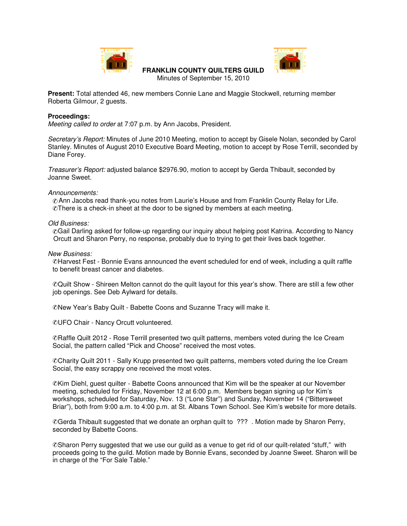



## **FRANKLIN COUNTY QUILTERS GUILD**

Minutes of September 15, 2010

**Present:** Total attended 46, new members Connie Lane and Maggie Stockwell, returning member Roberta Gilmour, 2 guests.

## **Proceedings:**

*Meeting called to order* at 7:07 p.m. by Ann Jacobs, President.

*Secretary's Report:* Minutes of June 2010 Meeting, motion to accept by Gisele Nolan, seconded by Carol Stanley. Minutes of August 2010 Executive Board Meeting, motion to accept by Rose Terrill, seconded by Diane Forey.

*Treasurer's Report:* adjusted balance \$2976.90, motion to accept by Gerda Thibault, seconded by Joanne Sweet.

*Announcements:*

✆Ann Jacobs read thank-you notes from Laurie's House and from Franklin County Relay for Life. ✆There is a check-in sheet at the door to be signed by members at each meeting.

*Old Business:*

✆Gail Darling asked for follow-up regarding our inquiry about helping post Katrina. According to Nancy Orcutt and Sharon Perry, no response, probably due to trying to get their lives back together.

*New Business:*

✆Harvest Fest - Bonnie Evans announced the event scheduled for end of week, including a quilt raffle to benefit breast cancer and diabetes.

✆Quilt Show - Shireen Melton cannot do the quilt layout for this year's show. There are still a few other job openings. See Deb Aylward for details.

✆New Year's Baby Quilt - Babette Coons and Suzanne Tracy will make it.

✆UFO Chair - Nancy Orcutt volunteered.

©Raffle Quilt 2012 - Rose Terrill presented two quilt patterns, members voted during the Ice Cream Social, the pattern called "Pick and Choose" received the most votes.

✆Charity Quilt 2011 - Sally Krupp presented two quilt patterns, members voted during the Ice Cream Social, the easy scrappy one received the most votes.

✆Kim Diehl, guest quilter - Babette Coons announced that Kim will be the speaker at our November meeting, scheduled for Friday, November 12 at 6:00 p.m. Members began signing up for Kim's workshops, scheduled for Saturday, Nov. 13 ("Lone Star") and Sunday, November 14 ("Bittersweet Briar"), both from 9:00 a.m. to 4:00 p.m. at St. Albans Town School. See Kim's website for more details.

✆Gerda Thibault suggested that we donate an orphan quilt to ??? . Motion made by Sharon Perry, seconded by Babette Coons.

✆Sharon Perry suggested that we use our guild as a venue to get rid of our quilt-related "stuff," with proceeds going to the guild. Motion made by Bonnie Evans, seconded by Joanne Sweet. Sharon will be in charge of the "For Sale Table."